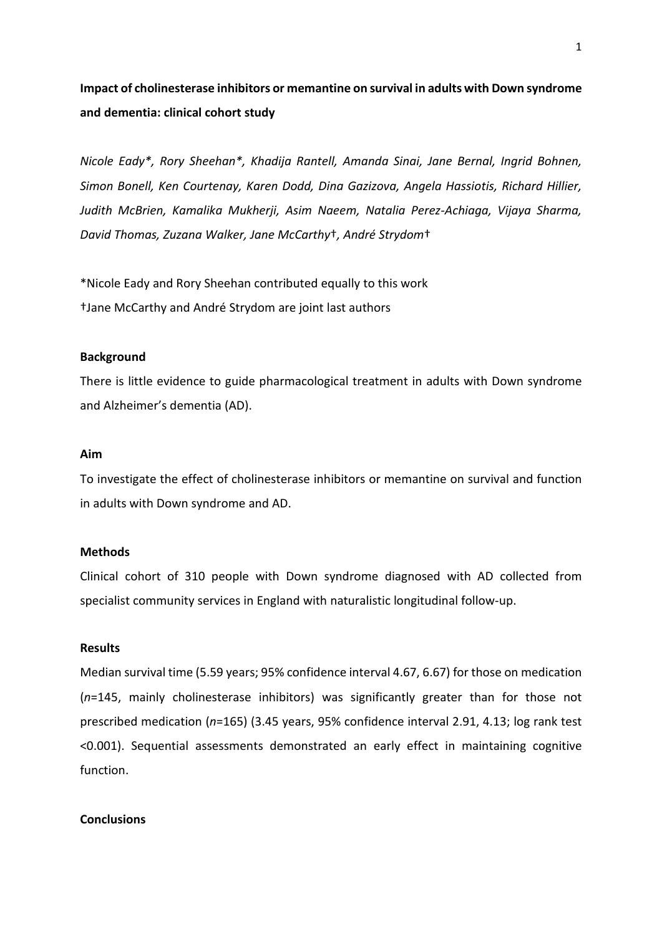# **Impact of cholinesterase inhibitors or memantine on survival in adults with Down syndrome and dementia: clinical cohort study**

*Nicole Eady\*, Rory Sheehan\*, Khadija Rantell, Amanda Sinai, Jane Bernal, Ingrid Bohnen, Simon Bonell, Ken Courtenay, Karen Dodd, Dina Gazizova, Angela Hassiotis, Richard Hillier, Judith McBrien, Kamalika Mukherji, Asim Naeem, Natalia Perez-Achiaga, Vijaya Sharma, David Thomas, Zuzana Walker, Jane McCarthy*†*, André Strydom*†

\*Nicole Eady and Rory Sheehan contributed equally to this work †Jane McCarthy and André Strydom are joint last authors

## **Background**

There is little evidence to guide pharmacological treatment in adults with Down syndrome and Alzheimer's dementia (AD).

# **Aim**

To investigate the effect of cholinesterase inhibitors or memantine on survival and function in adults with Down syndrome and AD.

# **Methods**

Clinical cohort of 310 people with Down syndrome diagnosed with AD collected from specialist community services in England with naturalistic longitudinal follow-up.

## **Results**

Median survival time (5.59 years; 95% confidence interval 4.67, 6.67) for those on medication (*n*=145, mainly cholinesterase inhibitors) was significantly greater than for those not prescribed medication (*n*=165) (3.45 years, 95% confidence interval 2.91, 4.13; log rank test <0.001). Sequential assessments demonstrated an early effect in maintaining cognitive function.

## **Conclusions**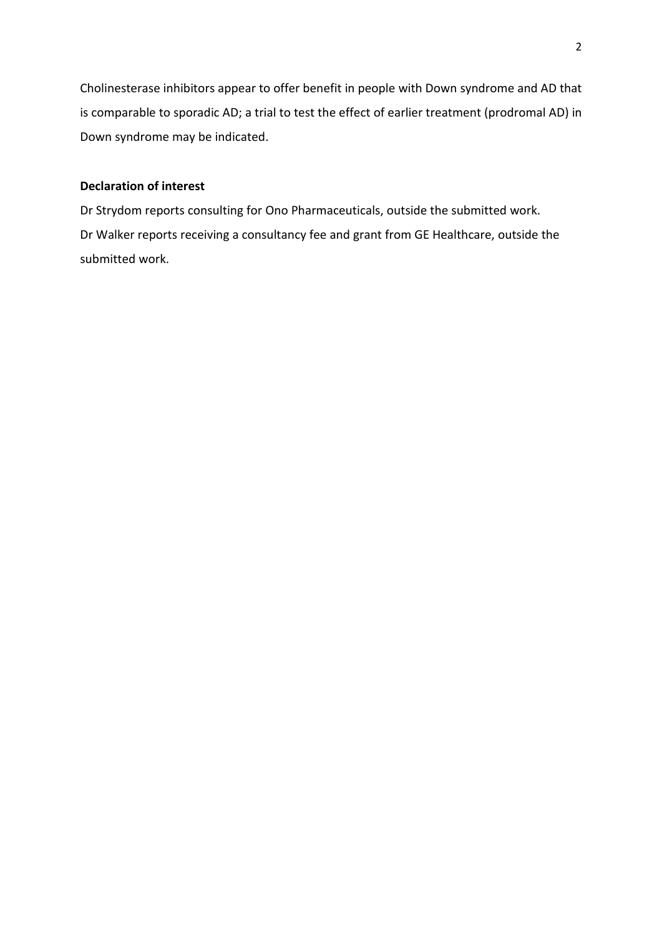Cholinesterase inhibitors appear to offer benefit in people with Down syndrome and AD that is comparable to sporadic AD; a trial to test the effect of earlier treatment (prodromal AD) in Down syndrome may be indicated.

# **Declaration of interest**

Dr Strydom reports consulting for Ono Pharmaceuticals, outside the submitted work. Dr Walker reports receiving a consultancy fee and grant from GE Healthcare, outside the submitted work.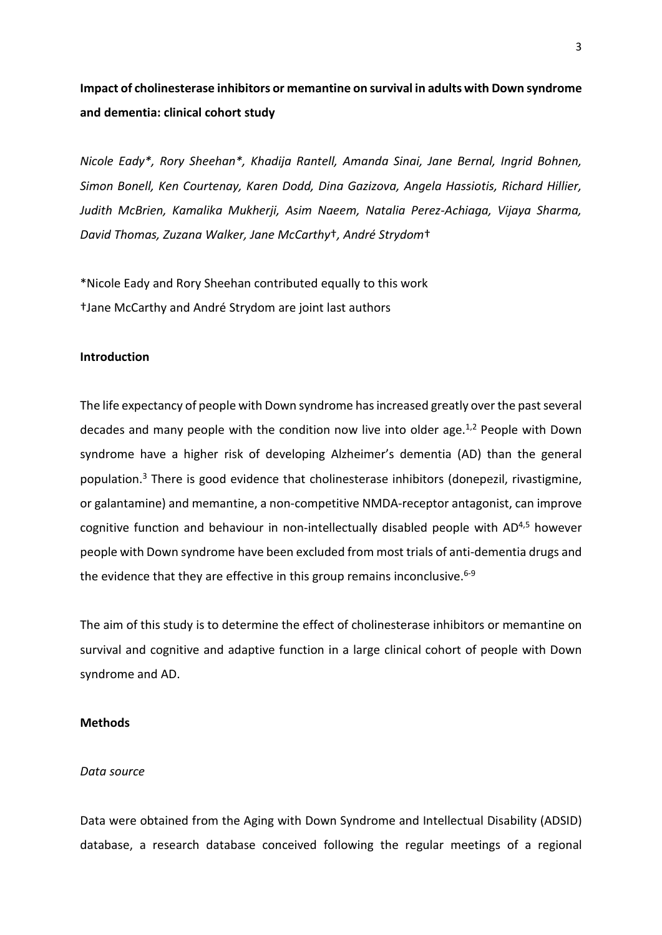# **Impact of cholinesterase inhibitors or memantine on survival in adults with Down syndrome and dementia: clinical cohort study**

*Nicole Eady\*, Rory Sheehan\*, Khadija Rantell, Amanda Sinai, Jane Bernal, Ingrid Bohnen, Simon Bonell, Ken Courtenay, Karen Dodd, Dina Gazizova, Angela Hassiotis, Richard Hillier, Judith McBrien, Kamalika Mukherji, Asim Naeem, Natalia Perez-Achiaga, Vijaya Sharma, David Thomas, Zuzana Walker, Jane McCarthy*†*, André Strydom*†

\*Nicole Eady and Rory Sheehan contributed equally to this work †Jane McCarthy and André Strydom are joint last authors

## **Introduction**

The life expectancy of people with Down syndrome has increased greatly over the past several decades and many people with the condition now live into older age. $1,2$  People with Down syndrome have a higher risk of developing Alzheimer's dementia (AD) than the general population.<sup>3</sup> There is good evidence that cholinesterase inhibitors (donepezil, rivastigmine, or galantamine) and memantine, a non-competitive NMDA-receptor antagonist, can improve cognitive function and behaviour in non-intellectually disabled people with  $AD<sup>4,5</sup>$  however people with Down syndrome have been excluded from most trials of anti-dementia drugs and the evidence that they are effective in this group remains inconclusive.  $6-9$ 

The aim of this study is to determine the effect of cholinesterase inhibitors or memantine on survival and cognitive and adaptive function in a large clinical cohort of people with Down syndrome and AD.

## **Methods**

## *Data source*

Data were obtained from the Aging with Down Syndrome and Intellectual Disability (ADSID) database, a research database conceived following the regular meetings of a regional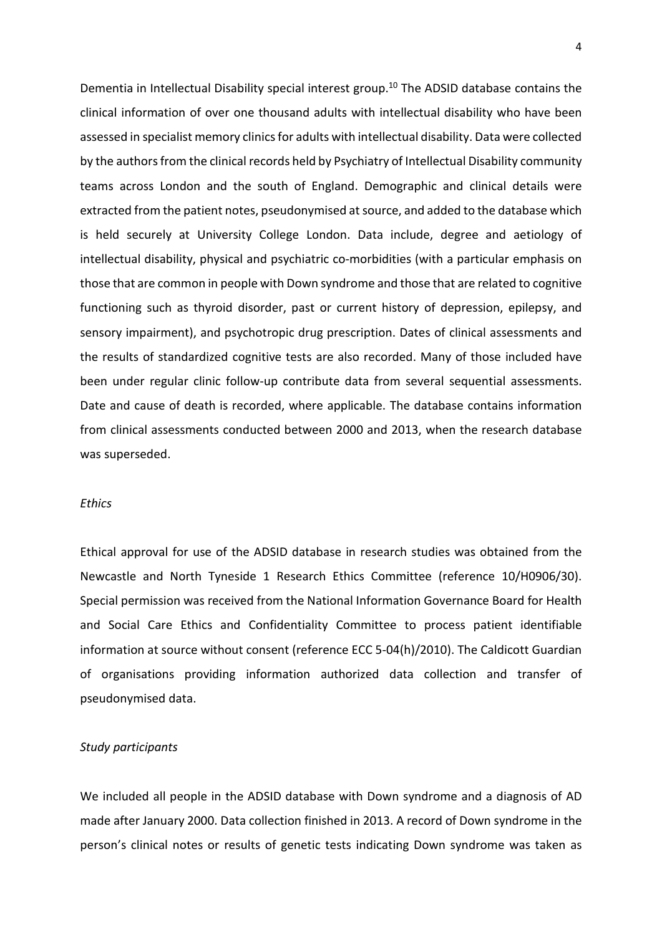Dementia in Intellectual Disability special interest group. <sup>10</sup> The ADSID database contains the clinical information of over one thousand adults with intellectual disability who have been assessed in specialist memory clinics for adults with intellectual disability. Data were collected by the authorsfrom the clinical records held by Psychiatry of Intellectual Disability community teams across London and the south of England. Demographic and clinical details were extracted from the patient notes, pseudonymised at source, and added to the database which is held securely at University College London. Data include, degree and aetiology of intellectual disability, physical and psychiatric co-morbidities (with a particular emphasis on those that are common in people with Down syndrome and those that are related to cognitive functioning such as thyroid disorder, past or current history of depression, epilepsy, and sensory impairment), and psychotropic drug prescription. Dates of clinical assessments and the results of standardized cognitive tests are also recorded. Many of those included have been under regular clinic follow-up contribute data from several sequential assessments. Date and cause of death is recorded, where applicable. The database contains information from clinical assessments conducted between 2000 and 2013, when the research database was superseded.

## *Ethics*

Ethical approval for use of the ADSID database in research studies was obtained from the Newcastle and North Tyneside 1 Research Ethics Committee (reference 10/H0906/30). Special permission was received from the National Information Governance Board for Health and Social Care Ethics and Confidentiality Committee to process patient identifiable information at source without consent (reference ECC 5-04(h)/2010). The Caldicott Guardian of organisations providing information authorized data collection and transfer of pseudonymised data.

#### *Study participants*

We included all people in the ADSID database with Down syndrome and a diagnosis of AD made after January 2000. Data collection finished in 2013. A record of Down syndrome in the person's clinical notes or results of genetic tests indicating Down syndrome was taken as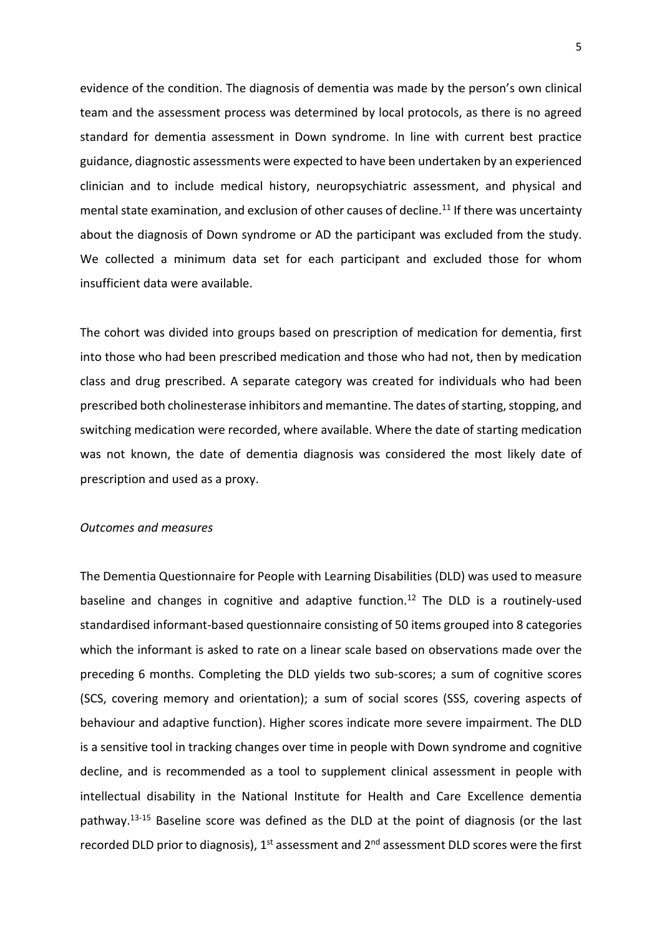evidence of the condition. The diagnosis of dementia was made by the person's own clinical team and the assessment process was determined by local protocols, as there is no agreed standard for dementia assessment in Down syndrome. In line with current best practice guidance, diagnostic assessments were expected to have been undertaken by an experienced clinician and to include medical history, neuropsychiatric assessment, and physical and mental state examination, and exclusion of other causes of decline.<sup>11</sup> If there was uncertainty about the diagnosis of Down syndrome or AD the participant was excluded from the study. We collected a minimum data set for each participant and excluded those for whom insufficient data were available.

The cohort was divided into groups based on prescription of medication for dementia, first into those who had been prescribed medication and those who had not, then by medication class and drug prescribed. A separate category was created for individuals who had been prescribed both cholinesterase inhibitors and memantine. The dates of starting, stopping, and switching medication were recorded, where available. Where the date of starting medication was not known, the date of dementia diagnosis was considered the most likely date of prescription and used as a proxy.

## *Outcomes and measures*

The Dementia Questionnaire for People with Learning Disabilities (DLD) was used to measure baseline and changes in cognitive and adaptive function.<sup>12</sup> The DLD is a routinely-used standardised informant-based questionnaire consisting of 50 items grouped into 8 categories which the informant is asked to rate on a linear scale based on observations made over the preceding 6 months. Completing the DLD yields two sub-scores; a sum of cognitive scores (SCS, covering memory and orientation); a sum of social scores (SSS, covering aspects of behaviour and adaptive function). Higher scores indicate more severe impairment. The DLD is a sensitive tool in tracking changes over time in people with Down syndrome and cognitive decline, and is recommended as a tool to supplement clinical assessment in people with intellectual disability in the National Institute for Health and Care Excellence dementia pathway. 13-15 Baseline score was defined as the DLD at the point of diagnosis (or the last recorded DLD prior to diagnosis), 1<sup>st</sup> assessment and 2<sup>nd</sup> assessment DLD scores were the first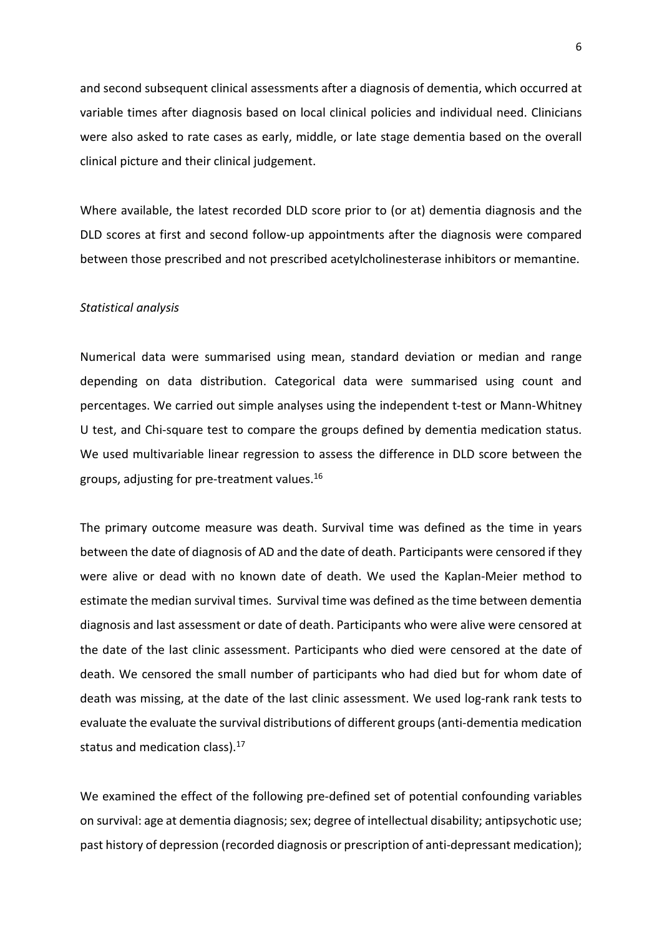and second subsequent clinical assessments after a diagnosis of dementia, which occurred at variable times after diagnosis based on local clinical policies and individual need. Clinicians were also asked to rate cases as early, middle, or late stage dementia based on the overall clinical picture and their clinical judgement.

Where available, the latest recorded DLD score prior to (or at) dementia diagnosis and the DLD scores at first and second follow-up appointments after the diagnosis were compared between those prescribed and not prescribed acetylcholinesterase inhibitors or memantine.

#### *Statistical analysis*

Numerical data were summarised using mean, standard deviation or median and range depending on data distribution. Categorical data were summarised using count and percentages. We carried out simple analyses using the independent t-test or Mann-Whitney U test, and Chi-square test to compare the groups defined by dementia medication status. We used multivariable linear regression to assess the difference in DLD score between the groups, adjusting for pre-treatment values.<sup>16</sup>

The primary outcome measure was death. Survival time was defined as the time in years between the date of diagnosis of AD and the date of death. Participants were censored if they were alive or dead with no known date of death. We used the Kaplan-Meier method to estimate the median survival times. Survival time was defined asthe time between dementia diagnosis and last assessment or date of death. Participants who were alive were censored at the date of the last clinic assessment. Participants who died were censored at the date of death. We censored the small number of participants who had died but for whom date of death was missing, at the date of the last clinic assessment. We used log-rank rank tests to evaluate the evaluate the survival distributions of different groups(anti-dementia medication status and medication class).<sup>17</sup>

We examined the effect of the following pre-defined set of potential confounding variables on survival: age at dementia diagnosis; sex; degree of intellectual disability; antipsychotic use; past history of depression (recorded diagnosis or prescription of anti-depressant medication);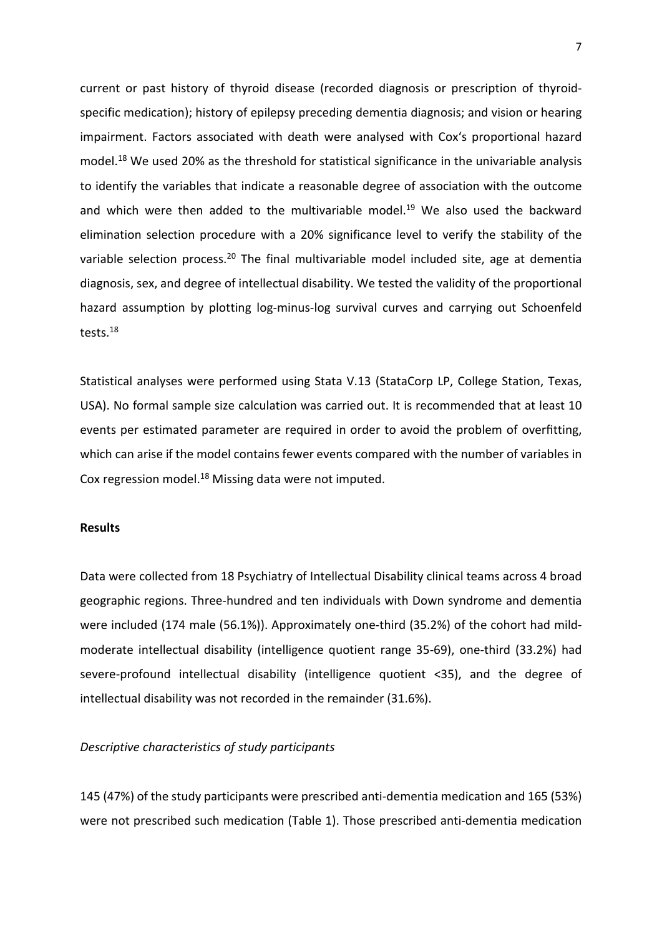current or past history of thyroid disease (recorded diagnosis or prescription of thyroidspecific medication); history of epilepsy preceding dementia diagnosis; and vision or hearing impairment. Factors associated with death were analysed with Cox's proportional hazard model.<sup>18</sup> We used 20% as the threshold for statistical significance in the univariable analysis to identify the variables that indicate a reasonable degree of association with the outcome and which were then added to the multivariable model.<sup>19</sup> We also used the backward elimination selection procedure with a 20% significance level to verify the stability of the variable selection process.<sup>20</sup> The final multivariable model included site, age at dementia diagnosis, sex, and degree of intellectual disability. We tested the validity of the proportional hazard assumption by plotting log-minus-log survival curves and carrying out Schoenfeld tests.<sup>18</sup>

Statistical analyses were performed using Stata V.13 (StataCorp LP, College Station, Texas, USA). No formal sample size calculation was carried out. It is recommended that at least 10 events per estimated parameter are required in order to avoid the problem of overfitting, which can arise if the model contains fewer events compared with the number of variables in Cox regression model.<sup>18</sup> Missing data were not imputed.

# **Results**

Data were collected from 18 Psychiatry of Intellectual Disability clinical teams across 4 broad geographic regions. Three-hundred and ten individuals with Down syndrome and dementia were included (174 male (56.1%)). Approximately one-third (35.2%) of the cohort had mildmoderate intellectual disability (intelligence quotient range 35-69), one-third (33.2%) had severe-profound intellectual disability (intelligence quotient <35), and the degree of intellectual disability was not recorded in the remainder (31.6%).

## *Descriptive characteristics of study participants*

145 (47%) of the study participants were prescribed anti-dementia medication and 165 (53%) were not prescribed such medication (Table 1). Those prescribed anti-dementia medication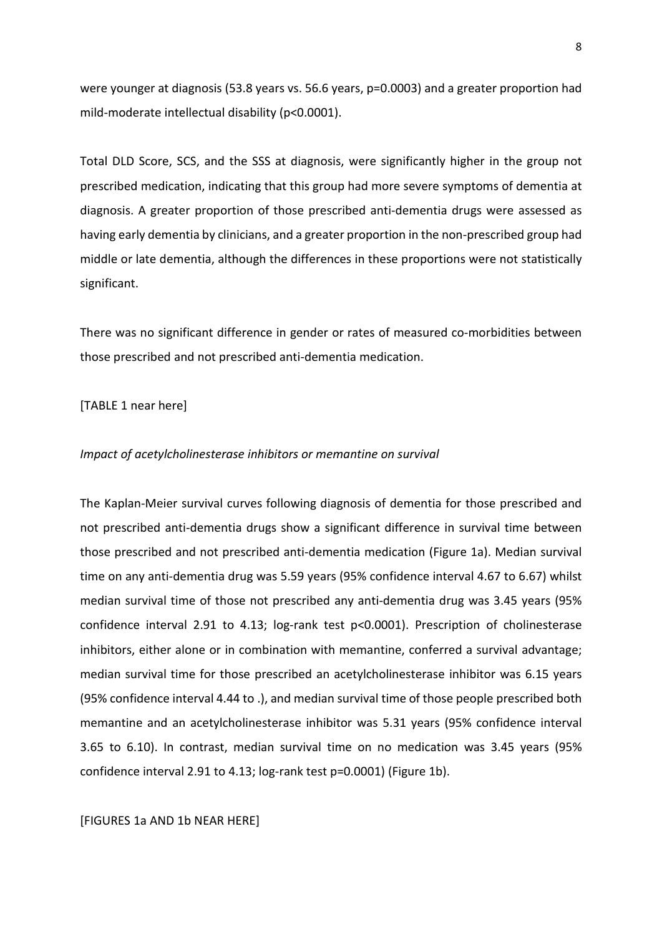were younger at diagnosis (53.8 years vs. 56.6 years, p=0.0003) and a greater proportion had mild-moderate intellectual disability (p<0.0001).

Total DLD Score, SCS, and the SSS at diagnosis, were significantly higher in the group not prescribed medication, indicating that this group had more severe symptoms of dementia at diagnosis. A greater proportion of those prescribed anti-dementia drugs were assessed as having early dementia by clinicians, and a greater proportion in the non-prescribed group had middle or late dementia, although the differences in these proportions were not statistically significant.

There was no significant difference in gender or rates of measured co-morbidities between those prescribed and not prescribed anti-dementia medication.

#### [TABLE 1 near here]

#### *Impact of acetylcholinesterase inhibitors or memantine on survival*

The Kaplan-Meier survival curves following diagnosis of dementia for those prescribed and not prescribed anti-dementia drugs show a significant difference in survival time between those prescribed and not prescribed anti-dementia medication (Figure 1a). Median survival time on any anti-dementia drug was 5.59 years (95% confidence interval 4.67 to 6.67) whilst median survival time of those not prescribed any anti-dementia drug was 3.45 years (95% confidence interval 2.91 to 4.13; log-rank test p<0.0001). Prescription of cholinesterase inhibitors, either alone or in combination with memantine, conferred a survival advantage; median survival time for those prescribed an acetylcholinesterase inhibitor was 6.15 years (95% confidence interval 4.44 to .), and median survival time of those people prescribed both memantine and an acetylcholinesterase inhibitor was 5.31 years (95% confidence interval 3.65 to 6.10). In contrast, median survival time on no medication was 3.45 years (95% confidence interval 2.91 to 4.13; log-rank test p=0.0001) (Figure 1b).

#### [FIGURES 1a AND 1b NEAR HERE]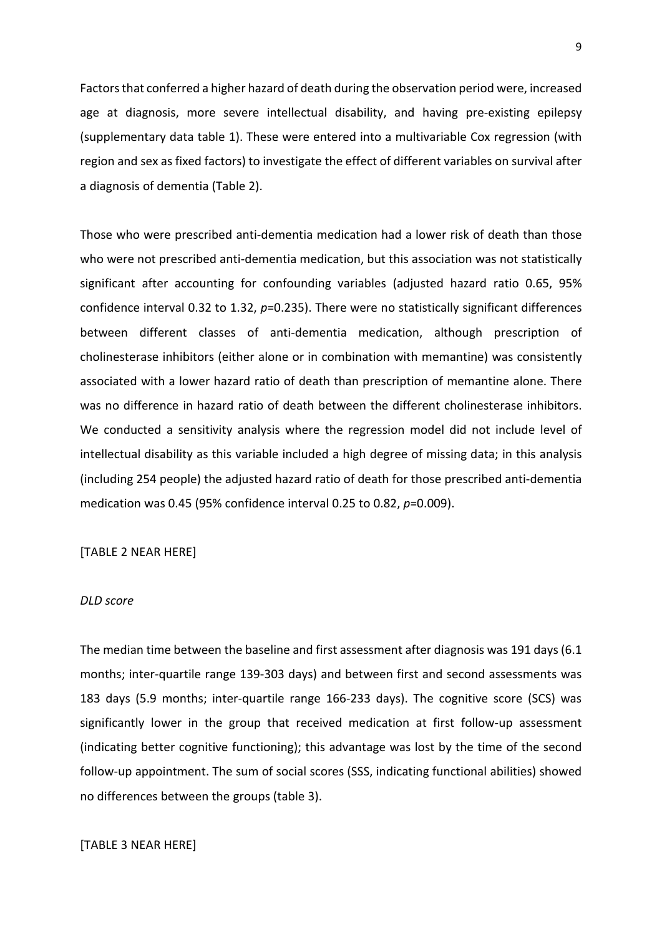Factors that conferred a higher hazard of death during the observation period were, increased age at diagnosis, more severe intellectual disability, and having pre-existing epilepsy (supplementary data table 1). These were entered into a multivariable Cox regression (with region and sex as fixed factors) to investigate the effect of different variables on survival after a diagnosis of dementia (Table 2).

Those who were prescribed anti-dementia medication had a lower risk of death than those who were not prescribed anti-dementia medication, but this association was not statistically significant after accounting for confounding variables (adjusted hazard ratio 0.65, 95% confidence interval 0.32 to 1.32, *p*=0.235). There were no statistically significant differences between different classes of anti-dementia medication, although prescription of cholinesterase inhibitors (either alone or in combination with memantine) was consistently associated with a lower hazard ratio of death than prescription of memantine alone. There was no difference in hazard ratio of death between the different cholinesterase inhibitors. We conducted a sensitivity analysis where the regression model did not include level of intellectual disability as this variable included a high degree of missing data; in this analysis (including 254 people) the adjusted hazard ratio of death for those prescribed anti-dementia medication was 0.45 (95% confidence interval 0.25 to 0.82, *p*=0.009).

# [TABLE 2 NEAR HERE]

#### *DLD score*

The median time between the baseline and first assessment after diagnosis was 191 days (6.1 months; inter-quartile range 139-303 days) and between first and second assessments was 183 days (5.9 months; inter-quartile range 166-233 days). The cognitive score (SCS) was significantly lower in the group that received medication at first follow-up assessment (indicating better cognitive functioning); this advantage was lost by the time of the second follow-up appointment. The sum of social scores (SSS, indicating functional abilities) showed no differences between the groups (table 3).

# [TABLE 3 NEAR HERE]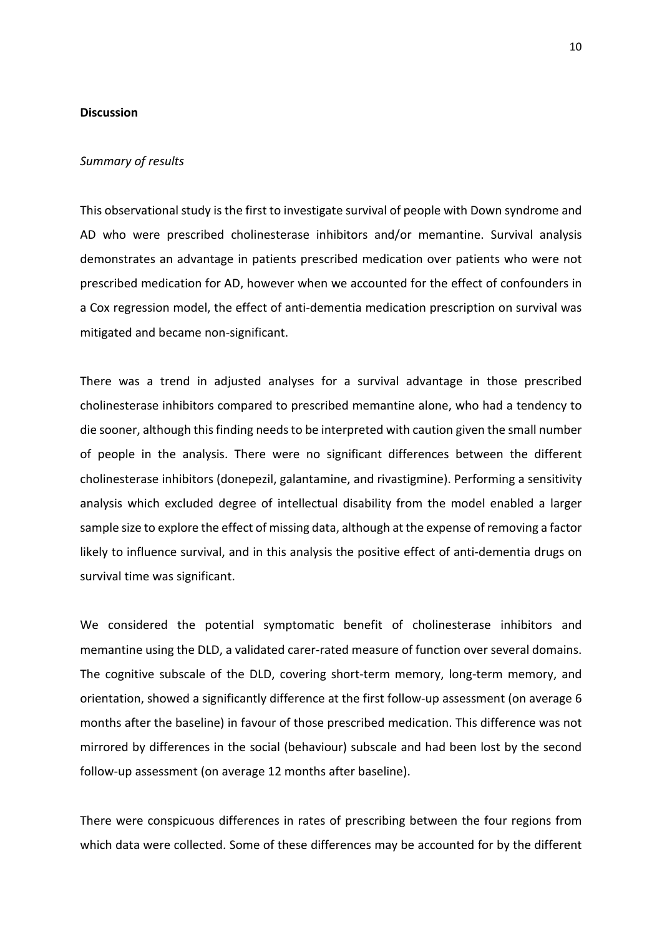## **Discussion**

#### *Summary of results*

This observational study is the first to investigate survival of people with Down syndrome and AD who were prescribed cholinesterase inhibitors and/or memantine. Survival analysis demonstrates an advantage in patients prescribed medication over patients who were not prescribed medication for AD, however when we accounted for the effect of confounders in a Cox regression model, the effect of anti-dementia medication prescription on survival was mitigated and became non-significant.

There was a trend in adjusted analyses for a survival advantage in those prescribed cholinesterase inhibitors compared to prescribed memantine alone, who had a tendency to die sooner, although this finding needs to be interpreted with caution given the small number of people in the analysis. There were no significant differences between the different cholinesterase inhibitors (donepezil, galantamine, and rivastigmine). Performing a sensitivity analysis which excluded degree of intellectual disability from the model enabled a larger sample size to explore the effect of missing data, although at the expense of removing a factor likely to influence survival, and in this analysis the positive effect of anti-dementia drugs on survival time was significant.

We considered the potential symptomatic benefit of cholinesterase inhibitors and memantine using the DLD, a validated carer-rated measure of function over several domains. The cognitive subscale of the DLD, covering short-term memory, long-term memory, and orientation, showed a significantly difference at the first follow-up assessment (on average 6 months after the baseline) in favour of those prescribed medication. This difference was not mirrored by differences in the social (behaviour) subscale and had been lost by the second follow-up assessment (on average 12 months after baseline).

There were conspicuous differences in rates of prescribing between the four regions from which data were collected. Some of these differences may be accounted for by the different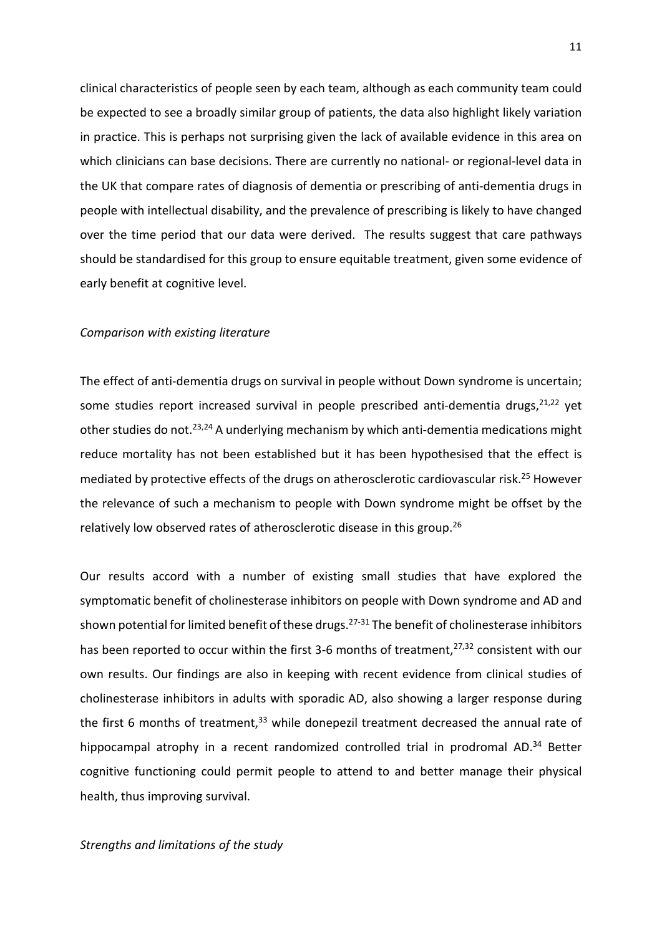clinical characteristics of people seen by each team, although as each community team could be expected to see a broadly similar group of patients, the data also highlight likely variation in practice. This is perhaps not surprising given the lack of available evidence in this area on which clinicians can base decisions. There are currently no national- or regional-level data in the UK that compare rates of diagnosis of dementia or prescribing of anti-dementia drugs in people with intellectual disability, and the prevalence of prescribing is likely to have changed over the time period that our data were derived. The results suggest that care pathways should be standardised for this group to ensure equitable treatment, given some evidence of early benefit at cognitive level.

#### *Comparison with existing literature*

The effect of anti-dementia drugs on survival in people without Down syndrome is uncertain; some studies report increased survival in people prescribed anti-dementia drugs,<sup>21,22</sup> yet other studies do not.<sup>23,24</sup> A underlying mechanism by which anti-dementia medications might reduce mortality has not been established but it has been hypothesised that the effect is mediated by protective effects of the drugs on atherosclerotic cardiovascular risk.<sup>25</sup> However the relevance of such a mechanism to people with Down syndrome might be offset by the relatively low observed rates of atherosclerotic disease in this group.<sup>26</sup>

Our results accord with a number of existing small studies that have explored the symptomatic benefit of cholinesterase inhibitors on people with Down syndrome and AD and shown potential for limited benefit of these drugs.<sup>27-31</sup> The benefit of cholinesterase inhibitors has been reported to occur within the first 3-6 months of treatment,<sup>27,32</sup> consistent with our own results. Our findings are also in keeping with recent evidence from clinical studies of cholinesterase inhibitors in adults with sporadic AD, also showing a larger response during the first 6 months of treatment,  $33$  while donepezil treatment decreased the annual rate of hippocampal atrophy in a recent randomized controlled trial in prodromal AD.<sup>34</sup> Better cognitive functioning could permit people to attend to and better manage their physical health, thus improving survival.

*Strengths and limitations of the study*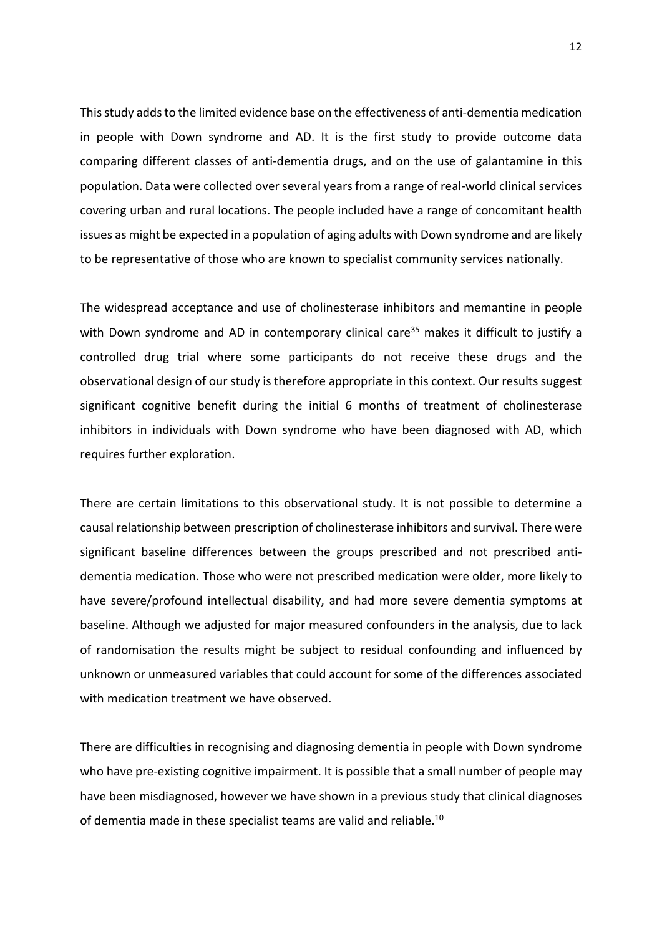This study adds to the limited evidence base on the effectiveness of anti-dementia medication in people with Down syndrome and AD. It is the first study to provide outcome data comparing different classes of anti-dementia drugs, and on the use of galantamine in this population. Data were collected over several yearsfrom a range of real-world clinical services covering urban and rural locations. The people included have a range of concomitant health issues as might be expected in a population of aging adults with Down syndrome and are likely to be representative of those who are known to specialist community services nationally.

The widespread acceptance and use of cholinesterase inhibitors and memantine in people with Down syndrome and AD in contemporary clinical care<sup>35</sup> makes it difficult to justify a controlled drug trial where some participants do not receive these drugs and the observational design of our study is therefore appropriate in this context. Our results suggest significant cognitive benefit during the initial 6 months of treatment of cholinesterase inhibitors in individuals with Down syndrome who have been diagnosed with AD, which requires further exploration.

There are certain limitations to this observational study. It is not possible to determine a causal relationship between prescription of cholinesterase inhibitors and survival. There were significant baseline differences between the groups prescribed and not prescribed antidementia medication. Those who were not prescribed medication were older, more likely to have severe/profound intellectual disability, and had more severe dementia symptoms at baseline. Although we adjusted for major measured confounders in the analysis, due to lack of randomisation the results might be subject to residual confounding and influenced by unknown or unmeasured variables that could account for some of the differences associated with medication treatment we have observed.

There are difficulties in recognising and diagnosing dementia in people with Down syndrome who have pre-existing cognitive impairment. It is possible that a small number of people may have been misdiagnosed, however we have shown in a previous study that clinical diagnoses of dementia made in these specialist teams are valid and reliable.<sup>10</sup>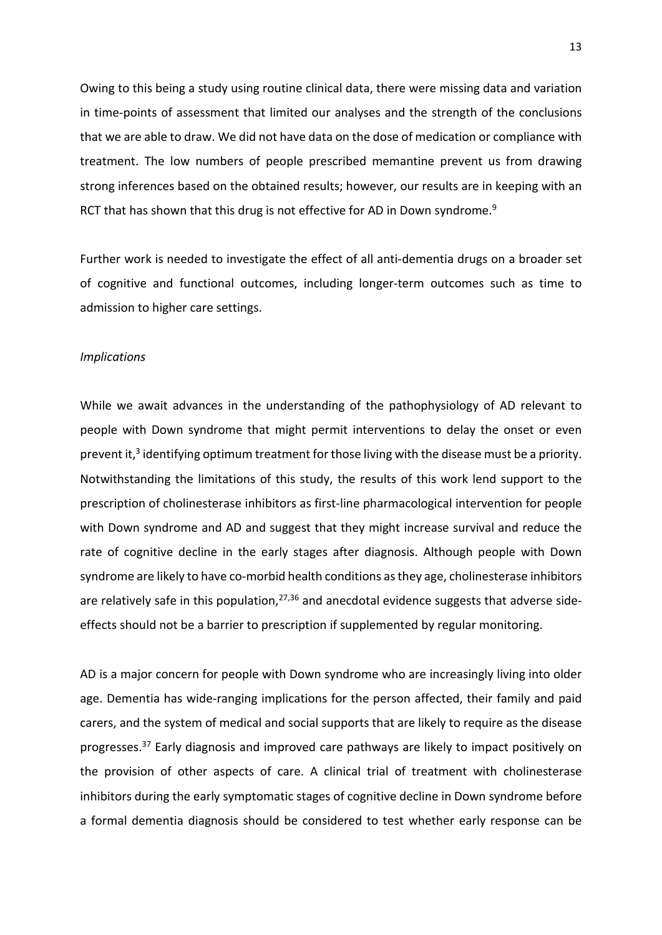Owing to this being a study using routine clinical data, there were missing data and variation in time-points of assessment that limited our analyses and the strength of the conclusions that we are able to draw. We did not have data on the dose of medication or compliance with treatment. The low numbers of people prescribed memantine prevent us from drawing strong inferences based on the obtained results; however, our results are in keeping with an RCT that has shown that this drug is not effective for AD in Down syndrome.<sup>9</sup>

Further work is needed to investigate the effect of all anti-dementia drugs on a broader set of cognitive and functional outcomes, including longer-term outcomes such as time to admission to higher care settings.

## *Implications*

While we await advances in the understanding of the pathophysiology of AD relevant to people with Down syndrome that might permit interventions to delay the onset or even prevent it,<sup>3</sup> identifying optimum treatment for those living with the disease must be a priority. Notwithstanding the limitations of this study, the results of this work lend support to the prescription of cholinesterase inhibitors as first-line pharmacological intervention for people with Down syndrome and AD and suggest that they might increase survival and reduce the rate of cognitive decline in the early stages after diagnosis. Although people with Down syndrome are likely to have co-morbid health conditions asthey age, cholinesterase inhibitors are relatively safe in this population,  $27,36$  and anecdotal evidence suggests that adverse sideeffects should not be a barrier to prescription if supplemented by regular monitoring.

AD is a major concern for people with Down syndrome who are increasingly living into older age. Dementia has wide-ranging implications for the person affected, their family and paid carers, and the system of medical and social supports that are likely to require as the disease progresses.<sup>37</sup> Early diagnosis and improved care pathways are likely to impact positively on the provision of other aspects of care. A clinical trial of treatment with cholinesterase inhibitors during the early symptomatic stages of cognitive decline in Down syndrome before a formal dementia diagnosis should be considered to test whether early response can be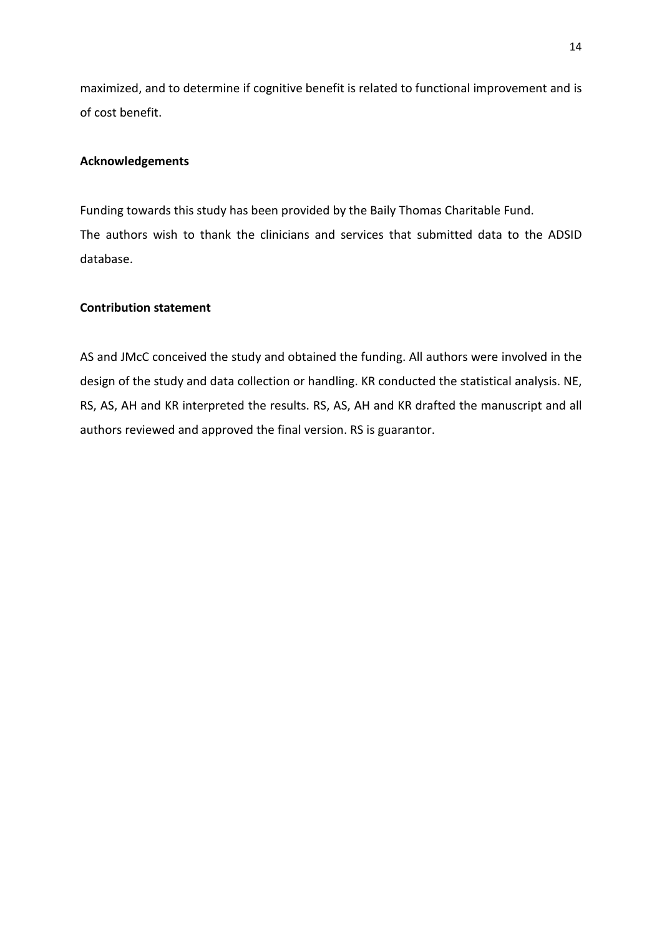maximized, and to determine if cognitive benefit is related to functional improvement and is of cost benefit.

# **Acknowledgements**

Funding towards this study has been provided by the Baily Thomas Charitable Fund. The authors wish to thank the clinicians and services that submitted data to the ADSID database.

# **Contribution statement**

AS and JMcC conceived the study and obtained the funding. All authors were involved in the design of the study and data collection or handling. KR conducted the statistical analysis. NE, RS, AS, AH and KR interpreted the results. RS, AS, AH and KR drafted the manuscript and all authors reviewed and approved the final version. RS is guarantor.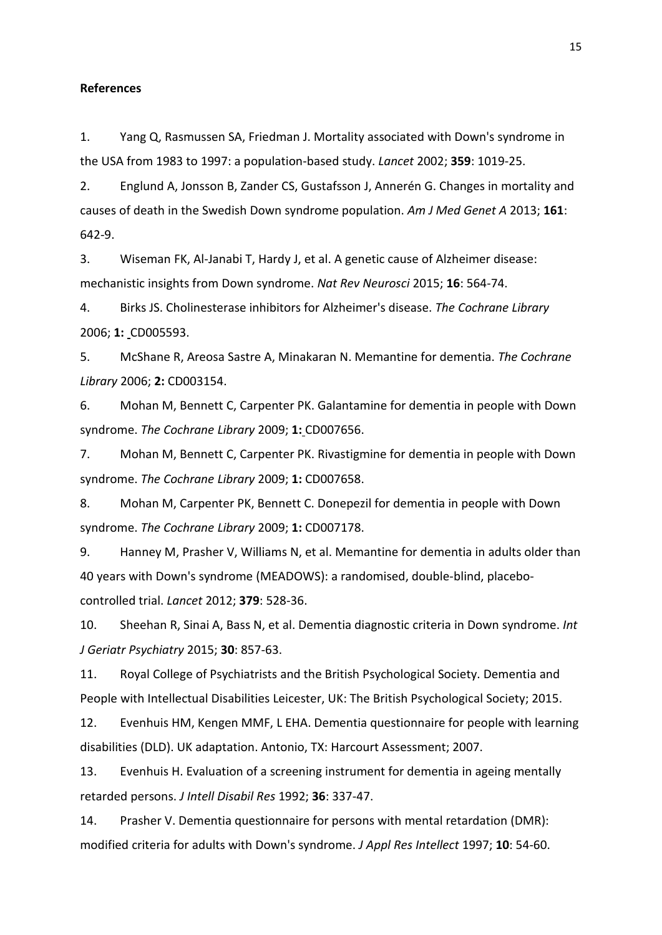## **References**

1. Yang Q, Rasmussen SA, Friedman J. Mortality associated with Down's syndrome in the USA from 1983 to 1997: a population-based study. *Lancet* 2002; **359**: 1019-25.

2. Englund A, Jonsson B, Zander CS, Gustafsson J, Annerén G. Changes in mortality and causes of death in the Swedish Down syndrome population. *Am J Med Genet A* 2013; **161**: 642-9.

3. Wiseman FK, Al-Janabi T, Hardy J, et al. A genetic cause of Alzheimer disease: mechanistic insights from Down syndrome. *Nat Rev Neurosci* 2015; **16**: 564-74.

4. Birks JS. Cholinesterase inhibitors for Alzheimer's disease. *The Cochrane Library* 2006; **1:** CD005593.

5. McShane R, Areosa Sastre A, Minakaran N. Memantine for dementia. *The Cochrane Library* 2006; **2:** CD003154.

6. Mohan M, Bennett C, Carpenter PK. Galantamine for dementia in people with Down syndrome. *The Cochrane Library* 2009; **1:** CD007656.

7. Mohan M, Bennett C, Carpenter PK. Rivastigmine for dementia in people with Down syndrome. *The Cochrane Library* 2009; **1:** CD007658.

8. Mohan M, Carpenter PK, Bennett C. Donepezil for dementia in people with Down syndrome. *The Cochrane Library* 2009; **1:** CD007178.

9. Hanney M, Prasher V, Williams N, et al. Memantine for dementia in adults older than 40 years with Down's syndrome (MEADOWS): a randomised, double-blind, placebocontrolled trial. *Lancet* 2012; **379**: 528-36.

10. Sheehan R, Sinai A, Bass N, et al. Dementia diagnostic criteria in Down syndrome. *Int J Geriatr Psychiatry* 2015; **30**: 857-63.

11. Royal College of Psychiatrists and the British Psychological Society. Dementia and People with Intellectual Disabilities Leicester, UK: The British Psychological Society; 2015.

12. Evenhuis HM, Kengen MMF, L EHA. Dementia questionnaire for people with learning disabilities (DLD). UK adaptation. Antonio, TX: Harcourt Assessment; 2007.

13. Evenhuis H. Evaluation of a screening instrument for dementia in ageing mentally retarded persons. *J Intell Disabil Res* 1992; **36**: 337-47.

14. Prasher V. Dementia questionnaire for persons with mental retardation (DMR): modified criteria for adults with Down's syndrome. *J Appl Res Intellect* 1997; **10**: 54-60.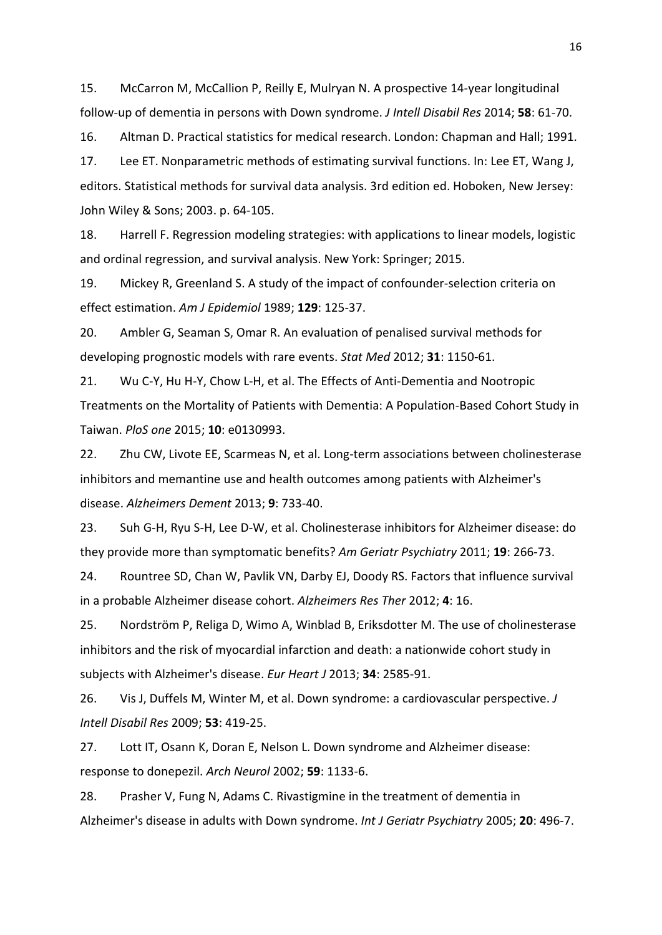15. McCarron M, McCallion P, Reilly E, Mulryan N. A prospective 14‐year longitudinal follow‐up of dementia in persons with Down syndrome. *J Intell Disabil Res* 2014; **58**: 61-70.

16. Altman D. Practical statistics for medical research. London: Chapman and Hall; 1991.

17. Lee ET. Nonparametric methods of estimating survival functions. In: Lee ET, Wang J, editors. Statistical methods for survival data analysis. 3rd edition ed. Hoboken, New Jersey: John Wiley & Sons; 2003. p. 64-105.

18. Harrell F. Regression modeling strategies: with applications to linear models, logistic and ordinal regression, and survival analysis. New York: Springer; 2015.

19. Mickey R, Greenland S. A study of the impact of confounder-selection criteria on effect estimation. *Am J Epidemiol* 1989; **129**: 125-37.

20. Ambler G, Seaman S, Omar R. An evaluation of penalised survival methods for developing prognostic models with rare events. *Stat Med* 2012; **31**: 1150-61.

21. Wu C-Y, Hu H-Y, Chow L-H, et al. The Effects of Anti-Dementia and Nootropic Treatments on the Mortality of Patients with Dementia: A Population-Based Cohort Study in Taiwan. *PloS one* 2015; **10**: e0130993.

22. Zhu CW, Livote EE, Scarmeas N, et al. Long-term associations between cholinesterase inhibitors and memantine use and health outcomes among patients with Alzheimer's disease. *Alzheimers Dement* 2013; **9**: 733-40.

23. Suh G-H, Ryu S-H, Lee D-W, et al. Cholinesterase inhibitors for Alzheimer disease: do they provide more than symptomatic benefits? *Am Geriatr Psychiatry* 2011; **19**: 266-73.

24. Rountree SD, Chan W, Pavlik VN, Darby EJ, Doody RS. Factors that influence survival in a probable Alzheimer disease cohort. *Alzheimers Res Ther* 2012; **4**: 16.

25. Nordström P, Religa D, Wimo A, Winblad B, Eriksdotter M. The use of cholinesterase inhibitors and the risk of myocardial infarction and death: a nationwide cohort study in subjects with Alzheimer's disease. *Eur Heart J* 2013; **34**: 2585-91.

26. Vis J, Duffels M, Winter M, et al. Down syndrome: a cardiovascular perspective. *J Intell Disabil Res* 2009; **53**: 419-25.

27. Lott IT, Osann K, Doran E, Nelson L. Down syndrome and Alzheimer disease: response to donepezil. *Arch Neurol* 2002; **59**: 1133-6.

28. Prasher V, Fung N, Adams C. Rivastigmine in the treatment of dementia in Alzheimer's disease in adults with Down syndrome. *Int J Geriatr Psychiatry* 2005; **20**: 496-7.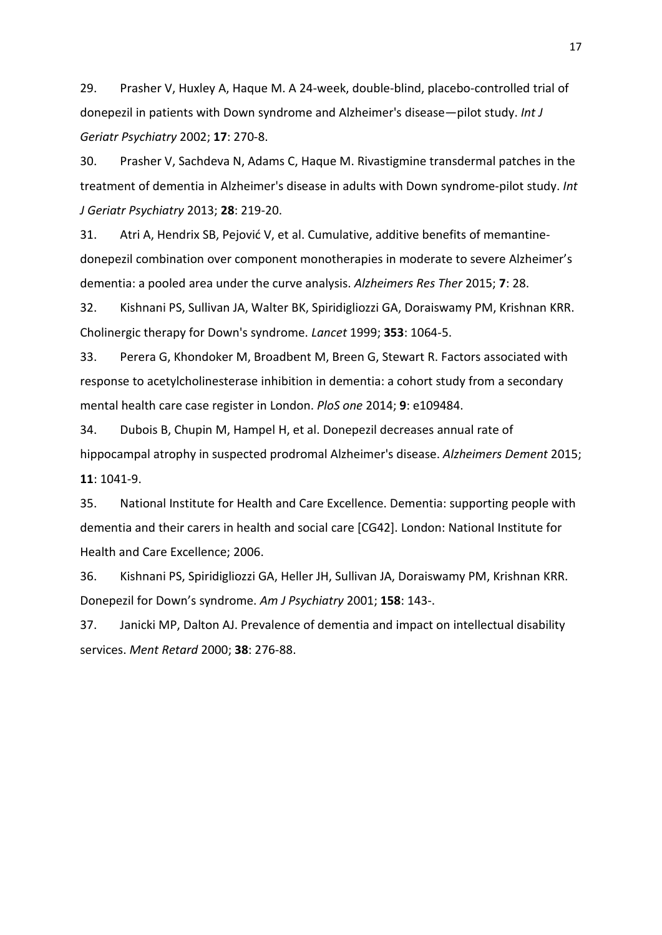29. Prasher V, Huxley A, Haque M. A 24-week, double-blind, placebo-controlled trial of donepezil in patients with Down syndrome and Alzheimer's disease—pilot study. *Int J Geriatr Psychiatry* 2002; **17**: 270-8.

30. Prasher V, Sachdeva N, Adams C, Haque M. Rivastigmine transdermal patches in the treatment of dementia in Alzheimer's disease in adults with Down syndrome‐pilot study. *Int J Geriatr Psychiatry* 2013; **28**: 219-20.

31. Atri A, Hendrix SB, Pejović V, et al. Cumulative, additive benefits of memantinedonepezil combination over component monotherapies in moderate to severe Alzheimer's dementia: a pooled area under the curve analysis. *Alzheimers Res Ther* 2015; **7**: 28.

32. Kishnani PS, Sullivan JA, Walter BK, Spiridigliozzi GA, Doraiswamy PM, Krishnan KRR. Cholinergic therapy for Down's syndrome. *Lancet* 1999; **353**: 1064-5.

33. Perera G, Khondoker M, Broadbent M, Breen G, Stewart R. Factors associated with response to acetylcholinesterase inhibition in dementia: a cohort study from a secondary mental health care case register in London. *PloS one* 2014; **9**: e109484.

34. Dubois B, Chupin M, Hampel H, et al. Donepezil decreases annual rate of hippocampal atrophy in suspected prodromal Alzheimer's disease. *Alzheimers Dement* 2015; **11**: 1041-9.

35. National Institute for Health and Care Excellence. Dementia: supporting people with dementia and their carers in health and social care [CG42]. London: National Institute for Health and Care Excellence; 2006.

36. Kishnani PS, Spiridigliozzi GA, Heller JH, Sullivan JA, Doraiswamy PM, Krishnan KRR. Donepezil for Down's syndrome. *Am J Psychiatry* 2001; **158**: 143-.

37. Janicki MP, Dalton AJ. Prevalence of dementia and impact on intellectual disability services. *Ment Retard* 2000; **38**: 276-88.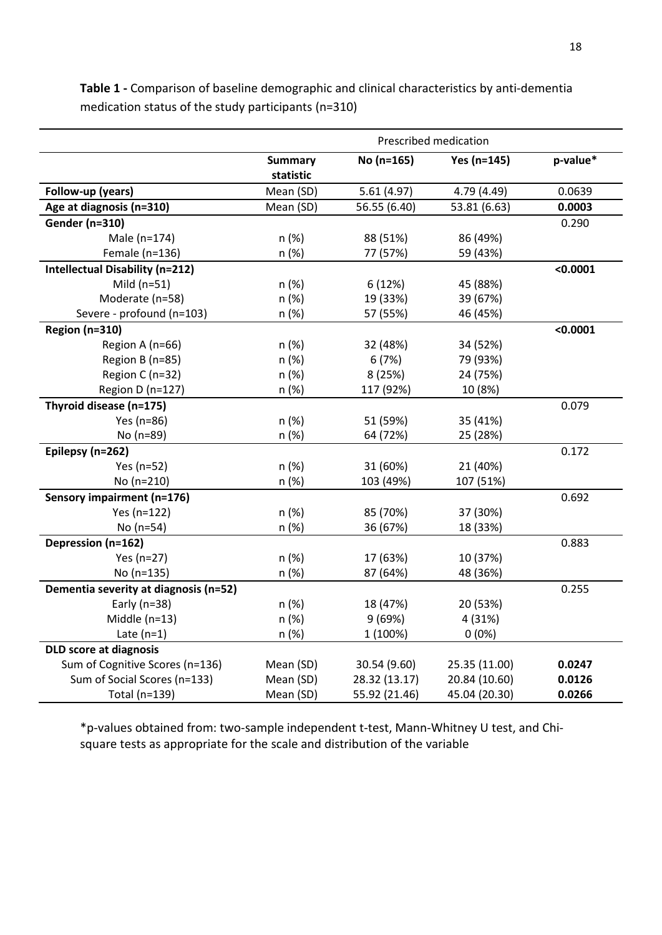|                                        | Prescribed medication |               |               |          |
|----------------------------------------|-----------------------|---------------|---------------|----------|
|                                        | <b>Summary</b>        | No (n=165)    | Yes (n=145)   | p-value* |
|                                        | statistic             |               |               |          |
| Follow-up (years)                      | Mean (SD)             | 5.61(4.97)    | 4.79 (4.49)   | 0.0639   |
| Age at diagnosis (n=310)               | Mean (SD)             | 56.55 (6.40)  | 53.81 (6.63)  | 0.0003   |
| <b>Gender (n=310)</b>                  |                       |               |               | 0.290    |
| Male (n=174)                           | n (%)                 | 88 (51%)      | 86 (49%)      |          |
| Female (n=136)                         | n (%)                 | 77 (57%)      | 59 (43%)      |          |
| <b>Intellectual Disability (n=212)</b> |                       |               |               | < 0.0001 |
| Mild $(n=51)$                          | n (%)                 | 6(12%)        | 45 (88%)      |          |
| Moderate (n=58)                        | n (%)                 | 19 (33%)      | 39 (67%)      |          |
| Severe - profound (n=103)              | n (%)                 | 57 (55%)      | 46 (45%)      |          |
| <b>Region (n=310)</b>                  |                       |               |               | < 0.0001 |
| Region A (n=66)                        | n (%)                 | 32 (48%)      | 34 (52%)      |          |
| Region B (n=85)                        | n (%)                 | 6(7%)         | 79 (93%)      |          |
| Region C (n=32)                        | n (%)                 | 8 (25%)       | 24 (75%)      |          |
| Region D (n=127)                       | n (%)                 | 117 (92%)     | 10 (8%)       |          |
| Thyroid disease (n=175)                |                       |               |               | 0.079    |
| Yes (n=86)                             | n (%)                 | 51 (59%)      | 35 (41%)      |          |
| No (n=89)                              | n (%)                 | 64 (72%)      | 25 (28%)      |          |
| Epilepsy (n=262)                       |                       |               |               | 0.172    |
| Yes (n=52)                             | n (%)                 | 31 (60%)      | 21 (40%)      |          |
| No (n=210)                             | n (%)                 | 103 (49%)     | 107 (51%)     |          |
| Sensory impairment (n=176)             |                       |               |               | 0.692    |
| Yes (n=122)                            | n (%)                 | 85 (70%)      | 37 (30%)      |          |
| No $(n=54)$                            | n (%)                 | 36 (67%)      | 18 (33%)      |          |
| Depression (n=162)                     |                       |               |               | 0.883    |
| Yes (n=27)                             | n (%)                 | 17 (63%)      | 10 (37%)      |          |
| No (n=135)                             | n (%)                 | 87 (64%)      | 48 (36%)      |          |
| Dementia severity at diagnosis (n=52)  |                       |               |               | 0.255    |
| Early ( $n=38$ )                       | n (%)                 | 18 (47%)      | 20 (53%)      |          |
| Middle $(n=13)$                        | n (%)                 | 9(69%)        | 4 (31%)       |          |
| Late $(n=1)$                           | n (%)                 | 1 (100%)      | $0(0\%)$      |          |
| <b>DLD score at diagnosis</b>          |                       |               |               |          |
| Sum of Cognitive Scores (n=136)        | Mean (SD)             | 30.54 (9.60)  | 25.35 (11.00) | 0.0247   |
| Sum of Social Scores (n=133)           | Mean (SD)             | 28.32 (13.17) | 20.84 (10.60) | 0.0126   |
| Total (n=139)                          | Mean (SD)             | 55.92 (21.46) | 45.04 (20.30) | 0.0266   |

**Table 1 -** Comparison of baseline demographic and clinical characteristics by anti-dementia medication status of the study participants (n=310)

\*p-values obtained from: two-sample independent t-test, Mann-Whitney U test, and Chisquare tests as appropriate for the scale and distribution of the variable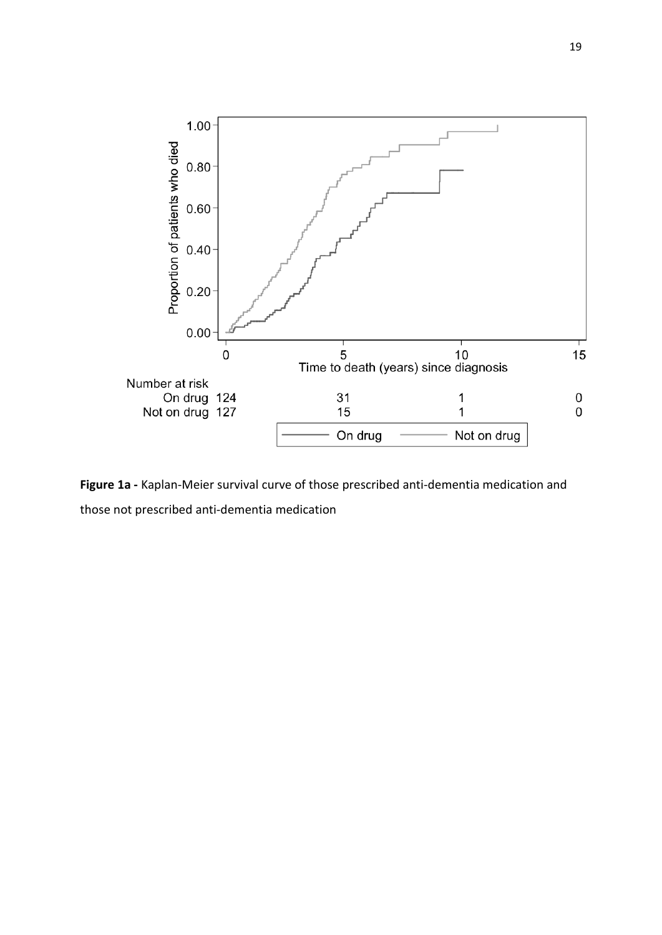

**Figure 1a -** Kaplan-Meier survival curve of those prescribed anti-dementia medication and those not prescribed anti-dementia medication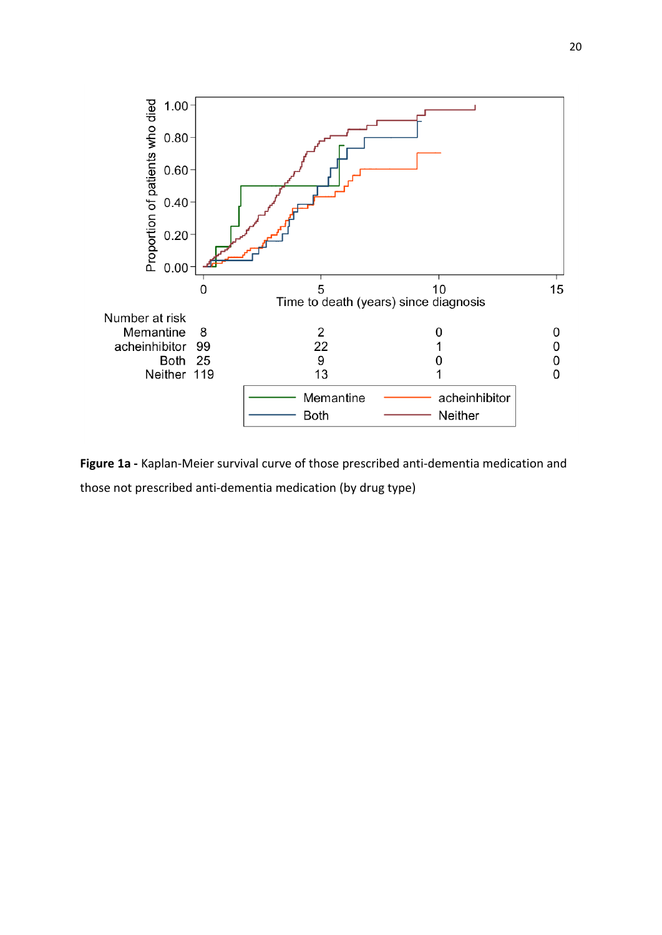

**Figure 1a -** Kaplan-Meier survival curve of those prescribed anti-dementia medication and those not prescribed anti-dementia medication (by drug type)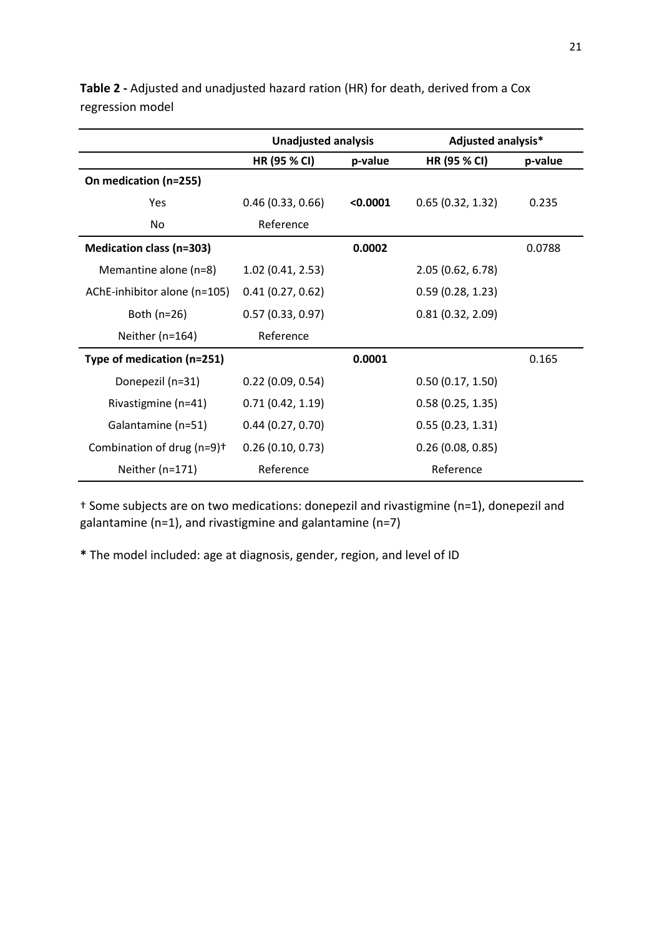|                                 | <b>Unadjusted analysis</b> |          | <b>Adjusted analysis*</b> |         |
|---------------------------------|----------------------------|----------|---------------------------|---------|
|                                 | HR (95 % CI)               | p-value  | HR (95 % CI)              | p-value |
| On medication (n=255)           |                            |          |                           |         |
| Yes                             | 0.46(0.33, 0.66)           | < 0.0001 | 0.65(0.32, 1.32)          | 0.235   |
| No.                             | Reference                  |          |                           |         |
| <b>Medication class (n=303)</b> |                            | 0.0002   |                           | 0.0788  |
| Memantine alone (n=8)           | 1.02(0.41, 2.53)           |          | 2.05 (0.62, 6.78)         |         |
| AChE-inhibitor alone (n=105)    | 0.41(0.27, 0.62)           |          | 0.59(0.28, 1.23)          |         |
| Both $(n=26)$                   | 0.57(0.33, 0.97)           |          | 0.81(0.32, 2.09)          |         |
| Neither (n=164)                 | Reference                  |          |                           |         |
| Type of medication (n=251)      |                            | 0.0001   |                           | 0.165   |
| Donepezil (n=31)                | 0.22(0.09, 0.54)           |          | 0.50(0.17, 1.50)          |         |
| Rivastigmine (n=41)             | 0.71(0.42, 1.19)           |          | 0.58(0.25, 1.35)          |         |
| Galantamine (n=51)              | 0.44(0.27, 0.70)           |          | 0.55(0.23, 1.31)          |         |
| Combination of drug $(n=9)^+$   | 0.26(0.10, 0.73)           |          | 0.26(0.08, 0.85)          |         |
| Neither (n=171)                 | Reference                  |          | Reference                 |         |

**Table 2 -** Adjusted and unadjusted hazard ration (HR) for death, derived from a Cox regression model

† Some subjects are on two medications: donepezil and rivastigmine (n=1), donepezil and galantamine (n=1), and rivastigmine and galantamine (n=7)

**\*** The model included: age at diagnosis, gender, region, and level of ID